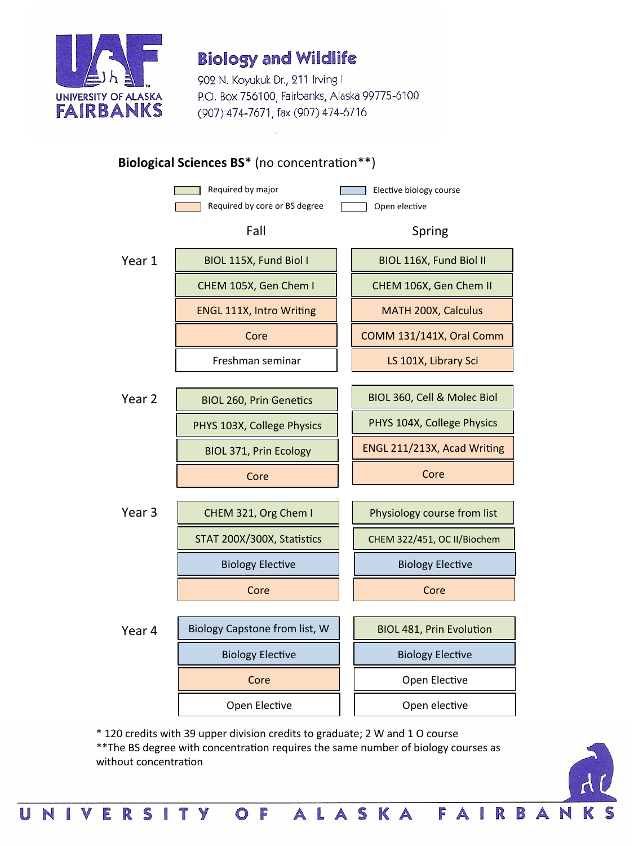

902 N. Koyukuk Dr., 211 Irving I P.O. Box 756100, Fairbanks, Alaska 99775-6100 (907) 474-7671, fax (907) 474-6716



\* 120 credits with 39 upper division credits to graduate; 2 W and 1 O course 

O F

**VERSITY** 

N

\*\*The BS degree with concentration requires the same number of biology courses as without concentration

ALASKA FAI

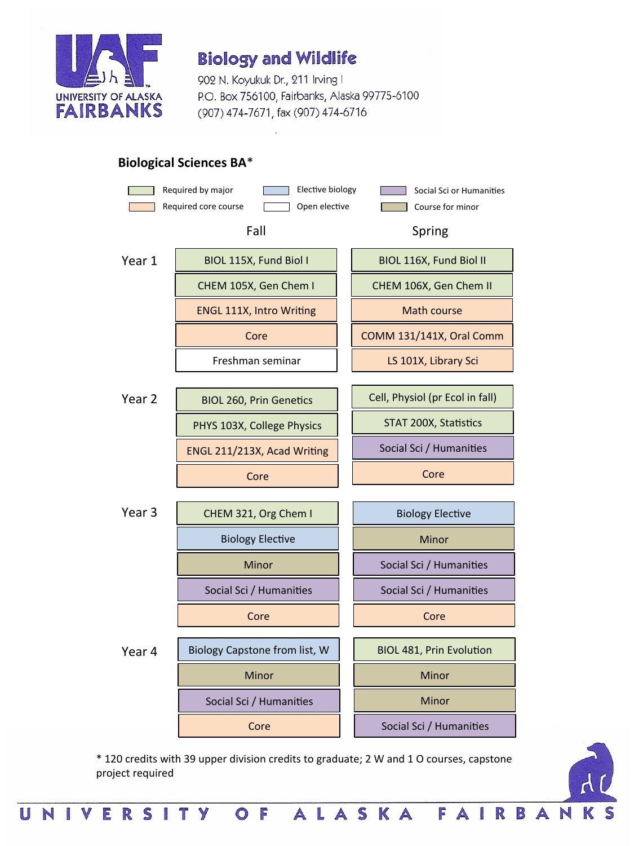

902 N. Koyukuk Dr., 211 Irving I P.O. Box 756100, Fairbanks, Alaska 99775-6100 (907) 474-7671, fax (907) 474-6716

#### **Biological Sciences BA**\*



\* 120 credits with 39 upper division credits to graduate; 2 W and 1 O courses, capstone project required

O F

E

RSITY

ALASKA FAI



R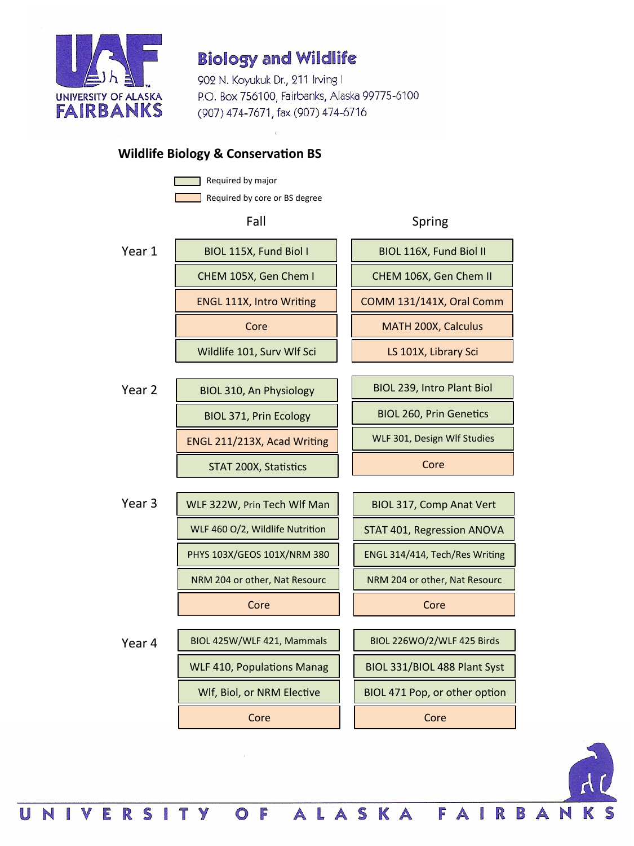

902 N. Koyukuk Dr., 211 Irving I P.O. Box 756100, Fairbanks, Alaska 99775-6100 (907) 474-7671, fax (907) 474-6716

### **Wildlife Biology & Conservation BS**

Required by major

Required by core or BS degree

OF





NIVERSITY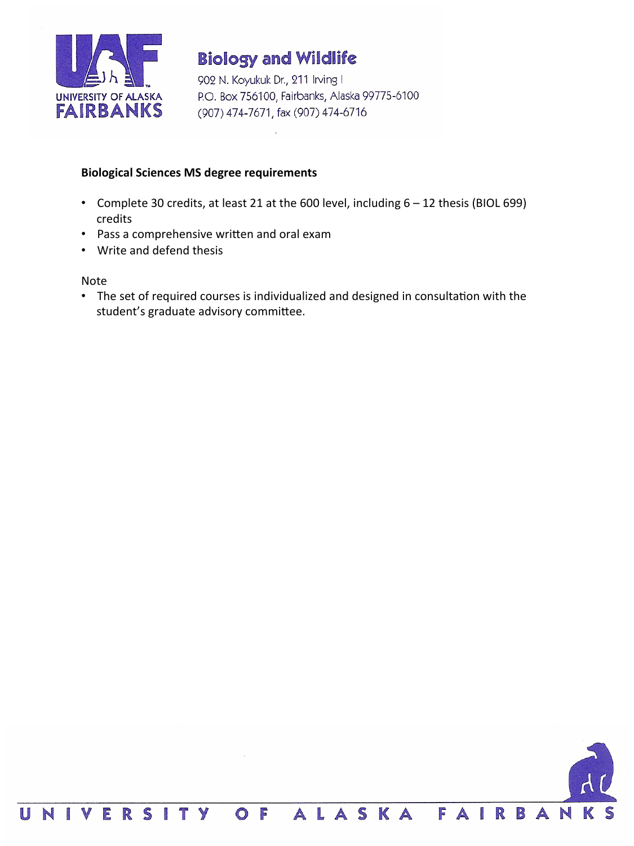

902 N. Koyukuk Dr., 211 Irving I P.O. Box 756100, Fairbanks, Alaska 99775-6100 (907) 474-7671, fax (907) 474-6716

#### **Biological Sciences MS degree requirements**

- Complete 30 credits, at least 21 at the 600 level, including 6 12 thesis (BIOL 699) credits
- Pass a comprehensive written and oral exam
- Write and defend thesis

Note 

• The set of required courses is individualized and designed in consultation with the student's graduate advisory committee.

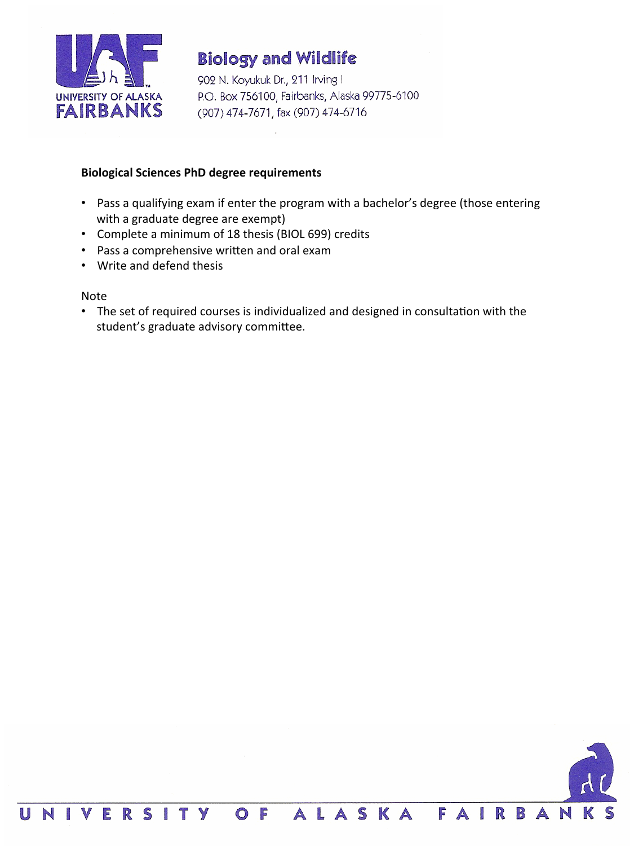

902 N. Koyukuk Dr., 211 Irving I P.O. Box 756100, Fairbanks, Alaska 99775-6100 (907) 474-7671, fax (907) 474-6716

#### **Biological Sciences PhD degree requirements**

- Pass a qualifying exam if enter the program with a bachelor's degree (those entering with a graduate degree are exempt)
- Complete a minimum of 18 thesis (BIOL 699) credits
- Pass a comprehensive written and oral exam
- Write and defend thesis

Note 

• The set of required courses is individualized and designed in consultation with the student's graduate advisory committee.